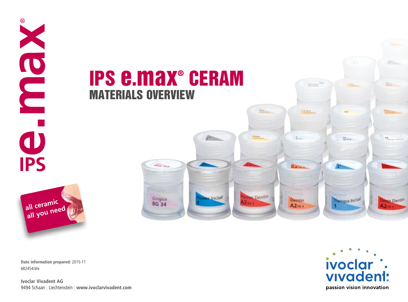

**Date information prepared:** 2015-11 682454/d/e

 $^{\circledR}$ 

**Ivoclar Vivadent AG** 9494 Schaan | Liechtenstein | **www.ivoclarvivadent.com** 

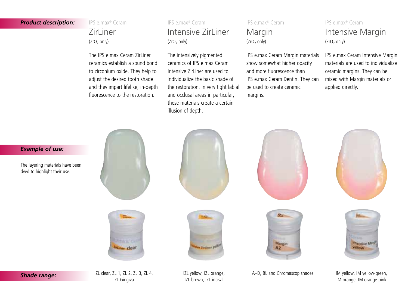#### *Product description:*

IPS e.max® Ceram

## ZirLiner  $(ZrO<sub>2</sub>$  only)

The IPS e.max Ceram ZirLiner ceramics establish a sound bond to zirconium oxide. They help to adjust the desired tooth shade and they impart lifelike, in-depth fluorescence to the restoration.

## IPS e.max® Ceram Intensive ZirLiner  $(ZrO<sub>2</sub>$  only)

The intensively pigmented ceramics of IPS e.max Ceram Intensive Zirliner are used to individualize the basic shade of the restoration. In very tight labial and occlusal areas in particular, these materials create a certain illusion of depth.

## IPS e.max® Ceram Margin  $(ZrO<sub>2</sub>$  only)

IPS e.max Ceram Margin materials show somewhat higher opacity and more fluorescence than IPS e.max Ceram Dentin. They can be used to create ceramic margins.

## IPS e.max® Ceram Intensive Margin  $(ZrO<sub>2</sub>$  only)

IPS e.max Ceram Intensive Margin materials are used to individualize ceramic margins. They can be mixed with Margin materials or applied directly.

*Example of use:* The layering materials have been dyed to highlight their use. Margin **Driver** clear **We Thetheast V!** 



A–D, BL and Chromascop shades IM yellow, IM vellow-green,

# *Shade range:*

ZL clear, ZL 1, ZL 2, ZL 3, ZL 4, ZL Gingiva

IZL yellow, IZL orange, IZL brown, IZL incisal







IM orange, IM orange-pink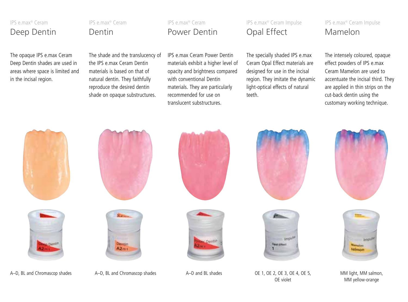## IPS e.max® Ceram Deep Dentin

The opaque IPS e.max Ceram Deep Dentin shades are used in areas where space is limited and in the incisal region.

IPS e.max® Ceram Dentin

The shade and the translucency of the IPS e max Ceram Dentin materials is based on that of natural dentin. They faithfully reproduce the desired dentin shade on opaque substructures.

# IPS e.max Ceram Power Dentin materials exhibit a higher level of opacity and brightness compared with conventional Dentin Power Dentin

IPS e.max® Ceram

materials. They are particularly recommended for use on translucent substructures.

IPS e.max® Ceram Impulse Opal Effect

The specially shaded IPS e.max Ceram Opal Effect materials are designed for use in the incisal region. They imitate the dynamic light-optical effects of natural teeth.

## IPS e.max® Ceram Impulse Mamelon

The intensely coloured, opaque effect powders of IPS e.max Ceram Mamelon are used to accentuate the incisal third. They are applied in thin strips on the cut-back dentin using the customary working technique.







A–D, BL and Chromascop shades A–D, BL and Chromascop shades A–D and BL shades OE 1, OE 2, OE 3, OE 4, OE 5, MM light, MM salmon,







OE 1, OE 2, OE 3, OE 4, OE 5, OE violet





MM yellow-orange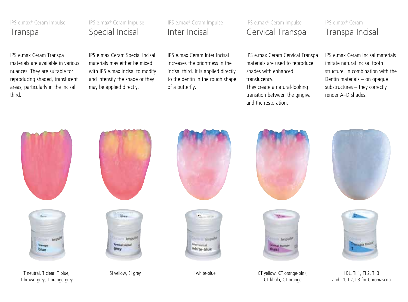IPS e.max® Ceram Impulse

## Transpa

IPS e.max Ceram Transpa materials are available in various nuances. They are suitable for reproducing shaded, translucent areas, particularly in the incisal third.

## IPS e.max® Ceram Impulse Special Incisal

IPS e.max Ceram Special Incisal materials may either be mixed with IPS e.max Incisal to modify and intensify the shade or they may be applied directly.

IPS e.max® Ceram Impulse Inter Incisal

IPS e.max Ceram Inter Incisal increases the brightness in the incisal third. It is applied directly to the dentin in the rough shape of a butterfly.

## IPS e.max® Ceram Impulse Cervical Transpa

IPS e.max Ceram Cervical Transpa materials are used to reproduce shades with enhanced translucency.

They create a natural-looking transition between the gingiva and the restoration.

## IPS e.max® Ceram Transpa Incisal

IPS e.max Ceram Incisal materials imitate natural incisal tooth structure. In combination with the Dentin materials – on opaque substructures – they correctly render A–D shades.



T neutral, T clear, T blue, T brown-grey, T orange-grey













SI yellow, SI grey The SI green CT yellow, CT orange-pink, CT khaki, CT orange





I BL, TI 1, TI 2, TI 3 and I 1, I 2, I 3 for Chromascop